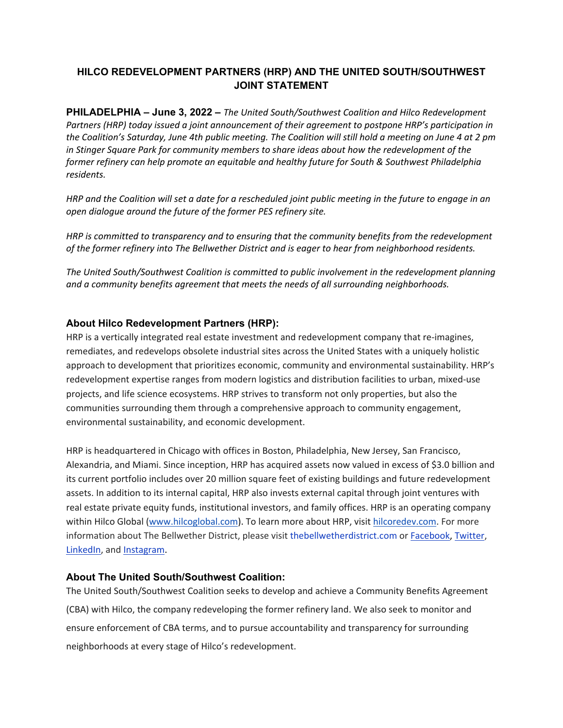## **HILCO REDEVELOPMENT PARTNERS (HRP) AND THE UNITED SOUTH/SOUTHWEST JOINT STATEMENT**

**PHILADELPHIA – June 3, 2022 –** *The United South/Southwest Coalition and Hilco Redevelopment Partners (HRP) today issued a joint announcement of their agreement to postpone HRP's participation in the Coalition's Saturday, June 4th public meeting. The Coalition will still hold a meeting on June 4 at 2 pm in Stinger Square Park for community members to share ideas about how the redevelopment of the former refinery can help promote an equitable and healthy future for South & Southwest Philadelphia residents.*

*HRP and the Coalition will set a date for a rescheduled joint public meeting in the future to engage in an open dialogue around the future of the former PES refinery site.* 

*HRP is committed to transparency and to ensuring that the community benefits from the redevelopment of the former refinery into The Bellwether District and is eager to hear from neighborhood residents.*

*The United South/Southwest Coalition is committed to public involvement in the redevelopment planning and a community benefits agreement that meets the needs of all surrounding neighborhoods.*

## **About Hilco Redevelopment Partners (HRP):**

HRP is a vertically integrated real estate investment and redevelopment company that re-imagines, remediates, and redevelops obsolete industrial sites across the United States with a uniquely holistic approach to development that prioritizes economic, community and environmental sustainability. HRP's redevelopment expertise ranges from modern logistics and distribution facilities to urban, mixed-use projects, and life science ecosystems. HRP strives to transform not only properties, but also the communities surrounding them through a comprehensive approach to community engagement, environmental sustainability, and economic development.

HRP is headquartered in Chicago with offices in Boston, Philadelphia, New Jersey, San Francisco, Alexandria, and Miami. Since inception, HRP has acquired assets now valued in excess of \$3.0 billion and its current portfolio includes over 20 million square feet of existing buildings and future redevelopment assets. In addition to its internal capital, HRP also invests external capital through joint ventures with real estate private equity funds, institutional investors, and family offices. HRP is an operating company within Hilco Global [\(www.hilcoglobal.com\)](https://nam04.safelinks.protection.outlook.com/?url=http://www.hilcoglobal.com/&data=04%257C01%257CEHoffman@hilcoglobal.com%257C2878795d341b4466f25c08d99723ff7a%257Cff73069906cc473891ab5061e4890dca%257C0%257C0%257C637707003263849598%257CUnknown%257CTWFpbGZsb3d8eyJWIjoiMC4wLjAwMDAiLCJQIjoiV2luMzIiLCJBTiI6Ik1haWwiLCJXVCI6Mn0=%257C1000&sdata=lOkGHTGh3yYgyoB5tyyLfVdNEgHB4DG1hce6Zv7w5fI=&reserved=0). To learn more about HRP, visit [hilcoredev.com.](https://www.hilcoredev.com/) For more information about The Bellwether District, please visit [thebellwetherdistrict.com](https://c212.net/c/link/?t=0&l=en&o=3333804-1&h=1708368962&u=https://www.thebellwetherdistrict.com/&a=thebellwetherdistrict.com) or [Facebook,](https://c212.net/c/link/?t=0&l=en&o=3333804-1&h=3887538277&u=https://facebook.com/TheBellwetherDistrict&a=Facebook+) [Twitter](https://twitter.com/Bellwetherdst), [LinkedIn,](https://www.linkedin.com/company/thebellwetherdistrict) and [Instagram](https://www.instagram.com/thebellwetherdistrict/).

## **About The United South/Southwest Coalition:**

The United South/Southwest Coalition seeks to develop and achieve a Community Benefits Agreement (CBA) with Hilco, the company redeveloping the former refinery land. We also seek to monitor and ensure enforcement of CBA terms, and to pursue accountability and transparency for surrounding neighborhoods at every stage of Hilco's redevelopment.